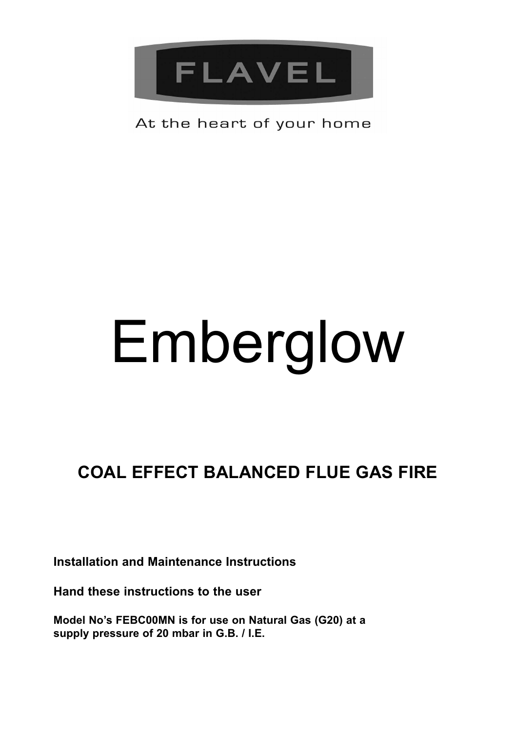

### At the heart of your home

# Emberglow

## **COAL EFFECT BALANCED FLUE GAS FIRE**

**Installation and Maintenance Instructions**

**Hand these instructions to the user**

**Model No's FEBC00MN is for use on Natural Gas (G20) at a supply pressure of 20 mbar in G.B. / I.E.**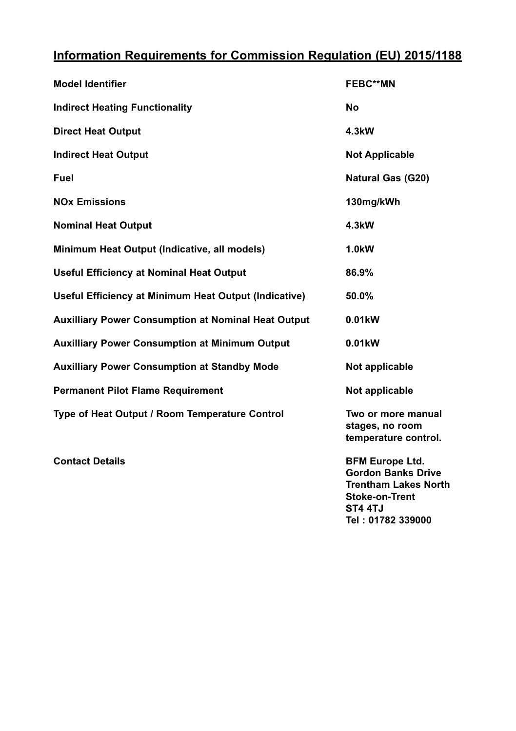#### **Information Requirements for Commission Regulation (EU) 2015/1188**

| <b>Model Identifier</b>                               | <b>FEBC**MN</b>                                               |
|-------------------------------------------------------|---------------------------------------------------------------|
| <b>Indirect Heating Functionality</b>                 | No                                                            |
| <b>Direct Heat Output</b>                             | 4.3kW                                                         |
| <b>Indirect Heat Output</b>                           | <b>Not Applicable</b>                                         |
| Fuel                                                  | <b>Natural Gas (G20)</b>                                      |
| <b>NO<sub>x</sub></b> Emissions                       | 130mg/kWh                                                     |
| <b>Nominal Heat Output</b>                            | 4.3kW                                                         |
| Minimum Heat Output (Indicative, all models)          | 1.0 <sub>k</sub> W                                            |
| <b>Useful Efficiency at Nominal Heat Output</b>       | 86.9%                                                         |
| Useful Efficiency at Minimum Heat Output (Indicative) | 50.0%                                                         |
| Auxilliary Power Consumption at Nominal Heat Output   | 0.01kW                                                        |
| <b>Auxilliary Power Consumption at Minimum Output</b> | 0.01kW                                                        |
| <b>Auxilliary Power Consumption at Standby Mode</b>   | Not applicable                                                |
| <b>Permanent Pilot Flame Requirement</b>              | Not applicable                                                |
| Type of Heat Output / Room Temperature Control        | Two or more manual<br>stages, no room<br>temperature control. |

**Contact Details BFM Europe Ltd. Gordon Banks Drive Trentham Lakes North Stoke-on-Trent ST4 4TJ Tel : 01782 339000**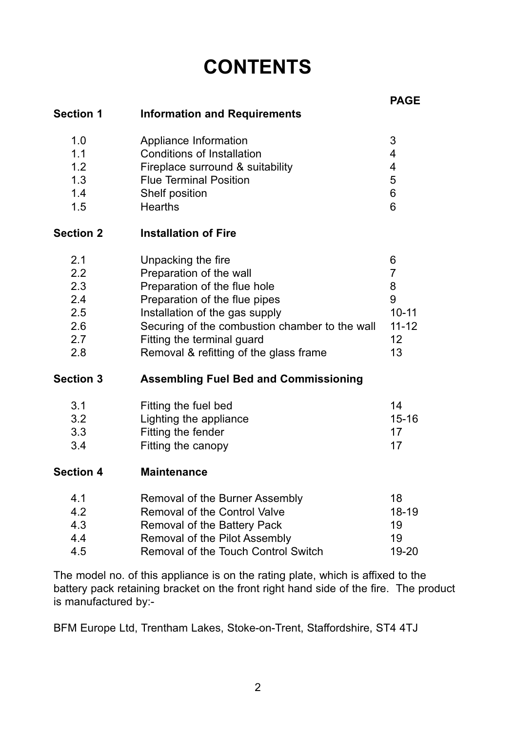## **CONTENTS**

|                  |                                                | <b>PAGE</b> |
|------------------|------------------------------------------------|-------------|
| <b>Section 1</b> | <b>Information and Requirements</b>            |             |
| 1.0              | Appliance Information                          | 3           |
| 1.1              | Conditions of Installation                     | 4           |
| 1.2              | Fireplace surround & suitability               | 4           |
| 1.3              | <b>Flue Terminal Position</b>                  | 5           |
| 1.4              | Shelf position                                 | 6           |
| 1.5              | Hearths                                        | 6           |
| <b>Section 2</b> | <b>Installation of Fire</b>                    |             |
| 2.1              | Unpacking the fire                             | 6           |
| 2.2              | Preparation of the wall                        | 7           |
| 2.3              | Preparation of the flue hole                   | 8           |
| 2.4              | Preparation of the flue pipes                  | 9           |
| 2.5              | Installation of the gas supply                 | $10 - 11$   |
| 2.6              | Securing of the combustion chamber to the wall | $11 - 12$   |
| 2.7              | Fitting the terminal guard                     | 12          |
| 2.8              | Removal & refitting of the glass frame         | 13          |
| <b>Section 3</b> | <b>Assembling Fuel Bed and Commissioning</b>   |             |
| 3.1              | Fitting the fuel bed                           | 14          |
| 3.2              | Lighting the appliance                         | $15 - 16$   |
| 3.3              | Fitting the fender                             | 17          |
| 3.4              | Fitting the canopy                             | 17          |
| <b>Section 4</b> | <b>Maintenance</b>                             |             |
| 4.1              | Removal of the Burner Assembly                 | 18          |
| 4.2              | Removal of the Control Valve                   | 18-19       |
| 4.3              | Removal of the Battery Pack                    | 19          |
| 4.4              | Removal of the Pilot Assembly                  | 19          |
| 4.5              | Removal of the Touch Control Switch            | 19-20       |

The model no. of this appliance is on the rating plate, which is affixed to the battery pack retaining bracket on the front right hand side of the fire. The product is manufactured by:-

BFM Europe Ltd, Trentham Lakes, Stoke-on-Trent, Staffordshire, ST4 4TJ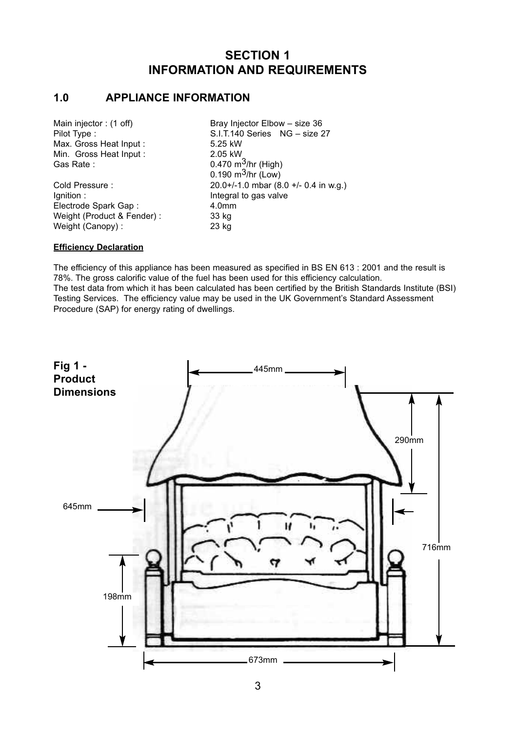#### **SECTION 1 INFORMATION AND REQUIREMENTS**

#### **1.0 APPLIANCE INFORMATION**

| Main injector: (1 off)     | Bray Injector Elbow - size 36         |
|----------------------------|---------------------------------------|
| Pilot Type:                | S.I.T.140 Series NG - size 27         |
| Max. Gross Heat Input:     | 5.25 kW                               |
| Min. Gross Heat Input:     | 2.05 kW                               |
| Gas Rate:                  | 0.470 $m^3$ /hr (High)                |
|                            | $0.190 \; \text{m}^3/\text{hr}$ (Low) |
| Cold Pressure:             | 20.0+/-1.0 mbar (8.0 +/- 0.4 in w.g.) |
| lgnition:                  | Integral to gas valve                 |
| Electrode Spark Gap:       | 4.0 <sub>mm</sub>                     |
| Weight (Product & Fender): | 33 kg                                 |
| Weight (Canopy):           | 23 kg                                 |

#### **Efficiency Declaration**

The efficiency of this appliance has been measured as specified in BS EN 613 : 2001 and the result is 78%. The gross calorific value of the fuel has been used for this efficiency calculation. The test data from which it has been calculated has been certified by the British Standards Institute (BSI) Testing Services. The efficiency value may be used in the UK Government's Standard Assessment Procedure (SAP) for energy rating of dwellings.

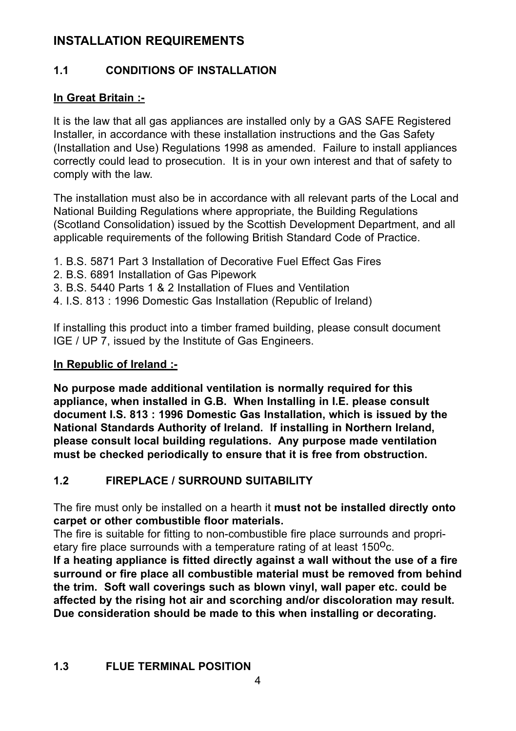#### **INSTALLATION REQUIREMENTS**

#### **1.1 CONDITIONS OF INSTALLATION**

#### **In Great Britain :-**

It is the law that all gas appliances are installed only by a GAS SAFE Registered Installer, in accordance with these installation instructions and the Gas Safety (Installation and Use) Regulations 1998 as amended. Failure to install appliances correctly could lead to prosecution. It is in your own interest and that of safety to comply with the law.

The installation must also be in accordance with all relevant parts of the Local and National Building Regulations where appropriate, the Building Regulations (Scotland Consolidation) issued by the Scottish Development Department, and all applicable requirements of the following British Standard Code of Practice.

- 1. B.S. 5871 Part 3 Installation of Decorative Fuel Effect Gas Fires
- 2. B.S. 6891 Installation of Gas Pipework
- 3. B.S. 5440 Parts 1 & 2 Installation of Flues and Ventilation
- 4. I.S. 813 : 1996 Domestic Gas Installation (Republic of Ireland)

If installing this product into a timber framed building, please consult document IGE / UP 7, issued by the Institute of Gas Engineers.

#### **In Republic of Ireland :-**

**No purpose made additional ventilation is normally required for this appliance, when installed in G.B. When Installing in I.E. please consult document I.S. 813 : 1996 Domestic Gas Installation, which is issued by the National Standards Authority of Ireland. If installing in Northern Ireland, please consult local building regulations. Any purpose made ventilation must be checked periodically to ensure that it is free from obstruction.**

#### **1.2 FIREPLACE / SURROUND SUITABILITY**

The fire must only be installed on a hearth it **must not be installed directly onto carpet or other combustible floor materials.**

The fire is suitable for fitting to non-combustible fire place surrounds and proprietary fire place surrounds with a temperature rating of at least  $150^{\circ}$ c.

**If a heating appliance is fitted directly against a wall without the use of a fire surround or fire place all combustible material must be removed from behind the trim. Soft wall coverings such as blown vinyl, wall paper etc. could be affected by the rising hot air and scorching and/or discoloration may result. Due consideration should be made to this when installing or decorating.**

#### **1.3 FLUE TERMINAL POSITION**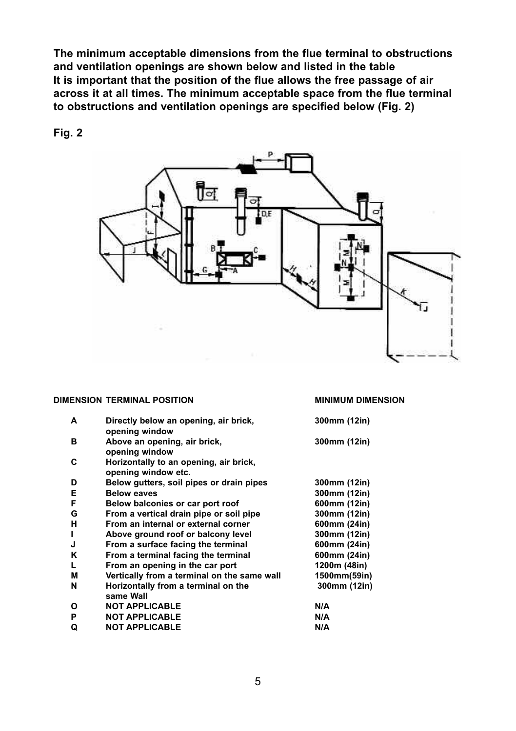**The minimum acceptable dimensions from the flue terminal to obstructions and ventilation openings are shown below and listed in the table It is important that the position of the flue allows the free passage of air across it at all times. The minimum acceptable space from the flue terminal to obstructions and ventilation openings are specified below (Fig. 2)**

**Fig. 2**



#### **DIMENSION TERMINAL POSITION MINIMUM DIMENSION**

| Α  | Directly below an opening, air brick,<br>opening window       | 300mm (12in) |
|----|---------------------------------------------------------------|--------------|
| в  | Above an opening, air brick,<br>opening window                | 300mm (12in) |
| C  | Horizontally to an opening, air brick,<br>opening window etc. |              |
| D  | Below gutters, soil pipes or drain pipes                      | 300mm (12in) |
| Е  | <b>Below eaves</b>                                            | 300mm (12in) |
| F  | Below balconies or car port roof                              | 600mm (12in) |
| G  | From a vertical drain pipe or soil pipe                       | 300mm (12in) |
| н  | From an internal or external corner                           | 600mm (24in) |
| п  | Above ground roof or balcony level                            | 300mm (12in) |
| J  | From a surface facing the terminal                            | 600mm (24in) |
| Κ  | From a terminal facing the terminal                           | 600mm (24in) |
| L. | From an opening in the car port                               | 1200m (48in) |
| M  | Vertically from a terminal on the same wall                   | 1500mm(59in) |
| N  | Horizontally from a terminal on the<br>same Wall              | 300mm (12in) |
| Ο  | <b>NOT APPLICABLE</b>                                         | N/A          |
| P  | <b>NOT APPLICABLE</b>                                         | N/A          |
| Q  | <b>NOT APPLICABLE</b>                                         | N/A          |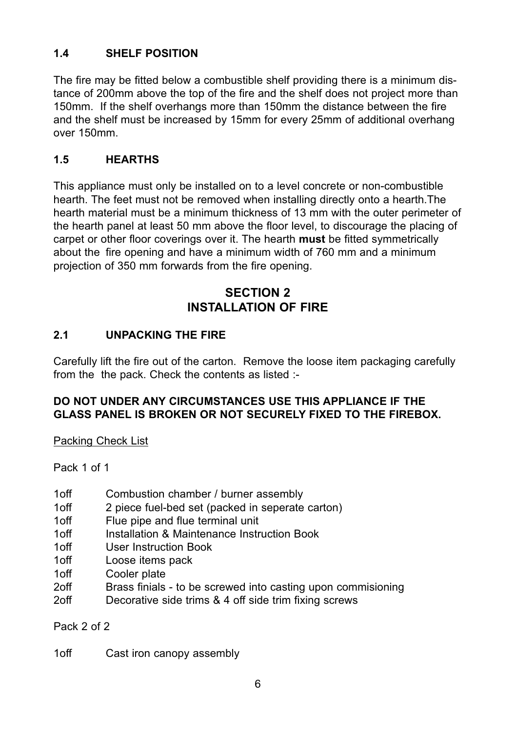#### **1.4 SHELF POSITION**

The fire may be fitted below a combustible shelf providing there is a minimum distance of 200mm above the top of the fire and the shelf does not project more than 150mm. If the shelf overhangs more than 150mm the distance between the fire and the shelf must be increased by 15mm for every 25mm of additional overhang over 150mm.

#### **1.5 HEARTHS**

This appliance must only be installed on to a level concrete or non-combustible hearth. The feet must not be removed when installing directly onto a hearth.The hearth material must be a minimum thickness of 13 mm with the outer perimeter of the hearth panel at least 50 mm above the floor level, to discourage the placing of carpet or other floor coverings over it. The hearth **must** be fitted symmetrically about the fire opening and have a minimum width of 760 mm and a minimum projection of 350 mm forwards from the fire opening.

#### **SECTION 2 INSTALLATION OF FIRE**

#### **2.1 UNPACKING THE FIRE**

Carefully lift the fire out of the carton. Remove the loose item packaging carefully from the the pack. Check the contents as listed :-

#### **DO NOT UNDER ANY CIRCUMSTANCES USE THIS APPLIANCE IF THE GLASS PANEL IS BROKEN OR NOT SECURELY FIXED TO THE FIREBOX.**

Packing Check List

Pack 1 of 1

- 1off Combustion chamber / burner assembly<br>1off 2 piece fuel-bed set (packed in seperate
- 2 piece fuel-bed set (packed in seperate carton)
- 1off Flue pipe and flue terminal unit
- 1off Installation & Maintenance Instruction Book<br>1off Iser Instruction Book
- User Instruction Book
- 1off Loose items pack
- 1off Cooler plate
- 2off Brass finials to be screwed into casting upon commisioning
- 2off Decorative side trims & 4 off side trim fixing screws

Pack 2 of 2

1off Cast iron canopy assembly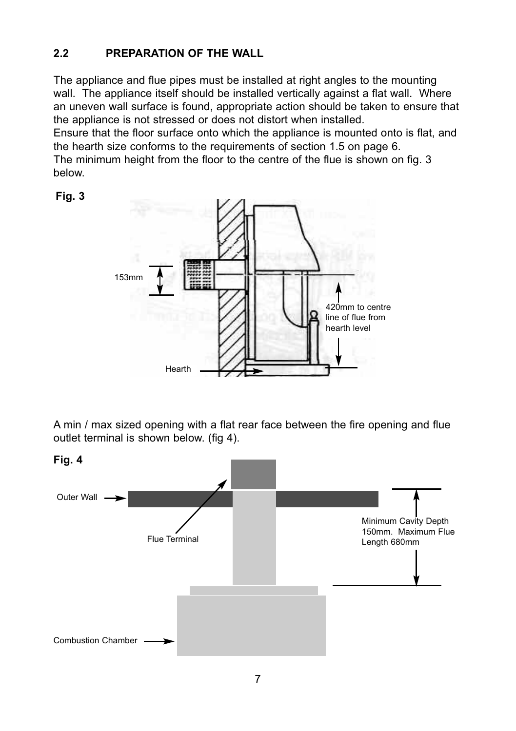#### **2.2 PREPARATION OF THE WALL**

The appliance and flue pipes must be installed at right angles to the mounting wall. The appliance itself should be installed vertically against a flat wall. Where an uneven wall surface is found, appropriate action should be taken to ensure that the appliance is not stressed or does not distort when installed.

Ensure that the floor surface onto which the appliance is mounted onto is flat, and the hearth size conforms to the requirements of section 1.5 on page 6.

The minimum height from the floor to the centre of the flue is shown on fig. 3 below.



A min / max sized opening with a flat rear face between the fire opening and flue outlet terminal is shown below. (fig 4).



**Fig. 3**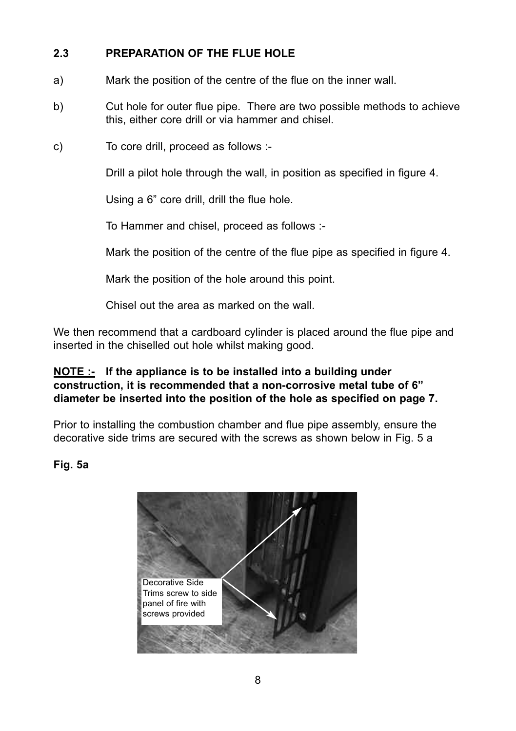#### **2.3 PREPARATION OF THE FLUE HOLE**

- a) Mark the position of the centre of the flue on the inner wall.
- b) Cut hole for outer flue pipe. There are two possible methods to achieve this, either core drill or via hammer and chisel.
- c) To core drill, proceed as follows :-

Drill a pilot hole through the wall, in position as specified in figure 4.

Using a 6" core drill, drill the flue hole.

To Hammer and chisel, proceed as follows :-

Mark the position of the centre of the flue pipe as specified in figure 4.

Mark the position of the hole around this point.

Chisel out the area as marked on the wall.

We then recommend that a cardboard cylinder is placed around the flue pipe and inserted in the chiselled out hole whilst making good.

#### **NOTE :- If the appliance is to be installed into a building under construction, it is recommended that a non-corrosive metal tube of 6" diameter be inserted into the position of the hole as specified on page 7.**

Prior to installing the combustion chamber and flue pipe assembly, ensure the decorative side trims are secured with the screws as shown below in Fig. 5 a

#### **Fig. 5a**

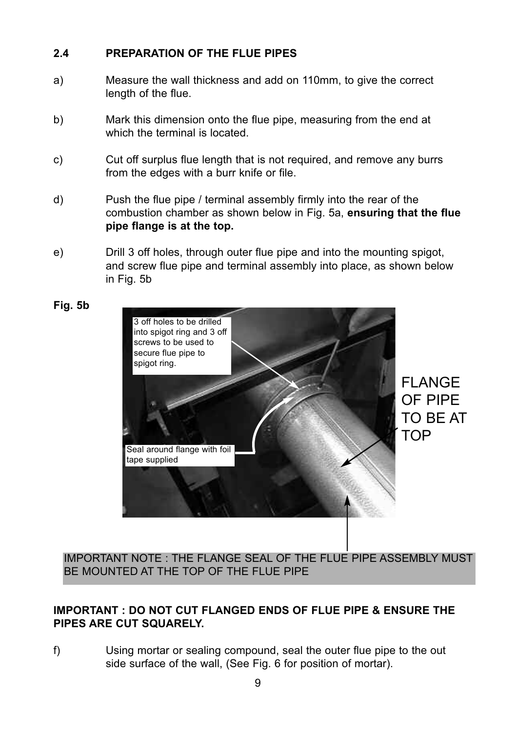#### **2.4 PREPARATION OF THE FLUE PIPES**

- a) Measure the wall thickness and add on 110mm, to give the correct length of the flue.
- b) Mark this dimension onto the flue pipe, measuring from the end at which the terminal is located.
- c) Cut off surplus flue length that is not required, and remove any burrs from the edges with a burr knife or file.
- d) Push the flue pipe / terminal assembly firmly into the rear of the combustion chamber as shown below in Fig. 5a, **ensuring that the flue pipe flange is at the top.**
- e) Drill 3 off holes, through outer flue pipe and into the mounting spigot, and screw flue pipe and terminal assembly into place, as shown below in Fig. 5b



IMPORTANT NOTE : THE FLANGE SEAL OF THE FLUE PIPE ASSEMBLY MUST BE MOUNTED AT THE TOP OF THE FLUE PIPE

#### **IMPORTANT : DO NOT CUT FLANGED ENDS OF FLUE PIPE & ENSURE THE PIPES ARE CUT SQUARELY.**

f) Using mortar or sealing compound, seal the outer flue pipe to the out side surface of the wall, (See Fig. 6 for position of mortar).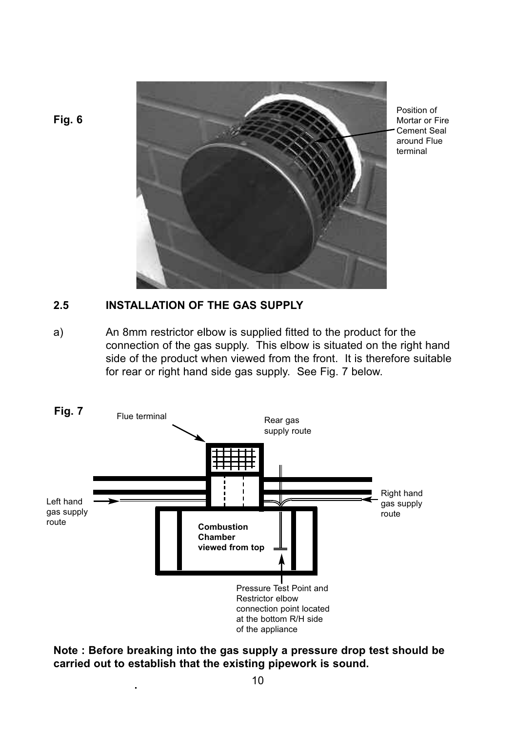

Position of Mortar or Fire Cement Seal around Flue terminal

#### **Fig. 6**

#### **2.5 INSTALLATION OF THE GAS SUPPLY**

a) An 8mm restrictor elbow is supplied fitted to the product for the connection of the gas supply. This elbow is situated on the right hand side of the product when viewed from the front. It is therefore suitable for rear or right hand side gas supply. See Fig. 7 below.



**Note : Before breaking into the gas supply a pressure drop test should be carried out to establish that the existing pipework is sound.**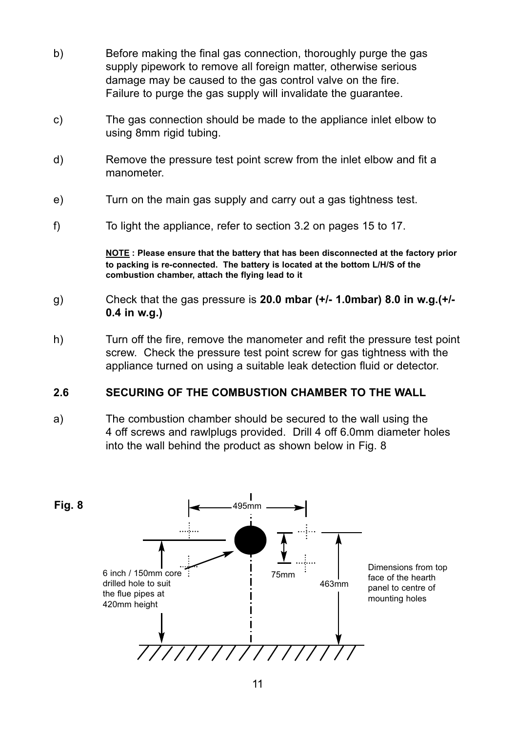- b) Before making the final gas connection, thoroughly purge the gas supply pipework to remove all foreign matter, otherwise serious damage may be caused to the gas control valve on the fire. Failure to purge the gas supply will invalidate the guarantee.
- c) The gas connection should be made to the appliance inlet elbow to using 8mm rigid tubing.
- d) Remove the pressure test point screw from the inlet elbow and fit a manometer.
- e) Turn on the main gas supply and carry out a gas tightness test.
- f) To light the appliance, refer to section 3.2 on pages 15 to 17.

**NOTE : Please ensure that the battery that has been disconnected at the factory prior to packing is re-connected. The battery is located at the bottom L/H/S of the combustion chamber, attach the flying lead to it**

- g) Check that the gas pressure is **20.0 mbar (+/- 1.0mbar) 8.0 in w.g.(+/- 0.4 in w.g.)**
- h) Turn off the fire, remove the manometer and refit the pressure test point screw. Check the pressure test point screw for gas tightness with the appliance turned on using a suitable leak detection fluid or detector.

#### **2.6 SECURING OF THE COMBUSTION CHAMBER TO THE WALL**

a) The combustion chamber should be secured to the wall using the 4 off screws and rawlplugs provided. Drill 4 off 6.0mm diameter holes into the wall behind the product as shown below in Fig. 8

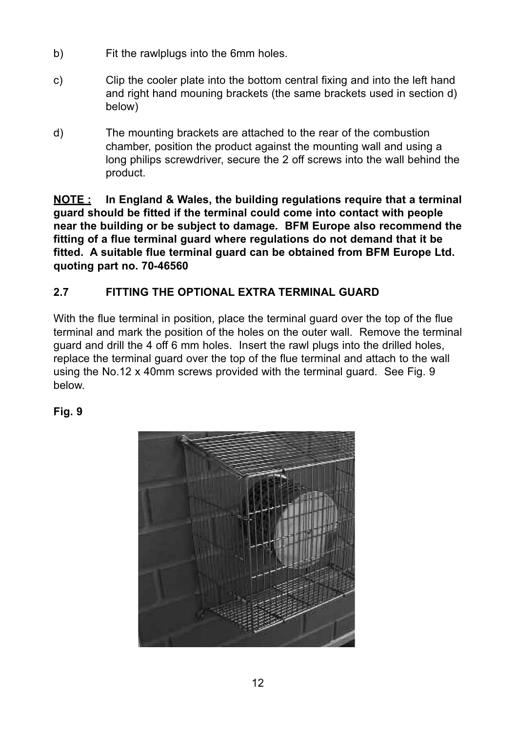- b) Fit the rawlplugs into the 6mm holes.
- c) Clip the cooler plate into the bottom central fixing and into the left hand and right hand mouning brackets (the same brackets used in section d) below)
- d) The mounting brackets are attached to the rear of the combustion chamber, position the product against the mounting wall and using a long philips screwdriver, secure the 2 off screws into the wall behind the product.

**NOTE : In England & Wales, the building regulations require that a terminal guard should be fitted if the terminal could come into contact with people near the building or be subject to damage. BFM Europe also recommend the fitting of a flue terminal guard where regulations do not demand that it be fitted. A suitable flue terminal guard can be obtained from BFM Europe Ltd. quoting part no. 70-46560**

#### **2.7 FITTING THE OPTIONAL EXTRA TERMINAL GUARD**

With the flue terminal in position, place the terminal guard over the top of the flue terminal and mark the position of the holes on the outer wall. Remove the terminal guard and drill the 4 off 6 mm holes. Insert the rawl plugs into the drilled holes, replace the terminal guard over the top of the flue terminal and attach to the wall using the No.12 x 40mm screws provided with the terminal guard. See Fig. 9 below.

#### **Fig. 9**

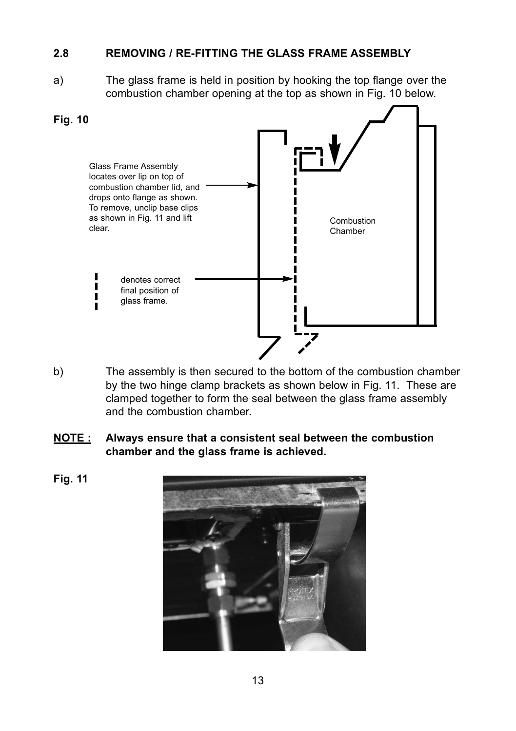#### **2.8 REMOVING / RE-FITTING THE GLASS FRAME ASSEMBLY**

a) The glass frame is held in position by hooking the top flange over the combustion chamber opening at the top as shown in Fig. 10 below.



- b) The assembly is then secured to the bottom of the combustion chamber by the two hinge clamp brackets as shown below in Fig. 11. These are clamped together to form the seal between the glass frame assembly and the combustion chamber.
- **NOTE : Always ensure that a consistent seal between the combustion chamber and the glass frame is achieved.**
- **Fig. 11**

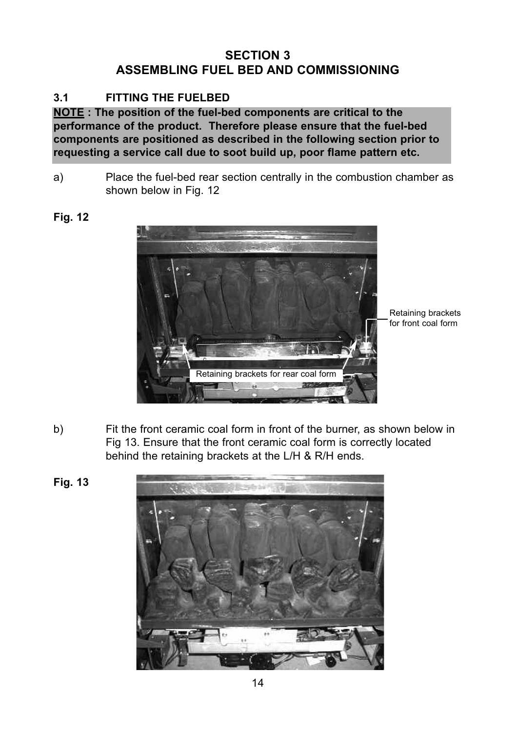#### **SECTION 3 ASSEMBLING FUEL BED AND COMMISSIONING**

#### **3.1 FITTING THE FUELBED**

**NOTE : The position of the fuel-bed components are critical to the performance of the product. Therefore please ensure that the fuel-bed components are positioned as described in the following section prior to requesting a service call due to soot build up, poor flame pattern etc.**

a) Place the fuel-bed rear section centrally in the combustion chamber as shown below in Fig. 12

#### **Fig. 12**



Retaining brackets for front coal form

b) Fit the front ceramic coal form in front of the burner, as shown below in Fig 13. Ensure that the front ceramic coal form is correctly located behind the retaining brackets at the L/H & R/H ends.



**Fig. 13**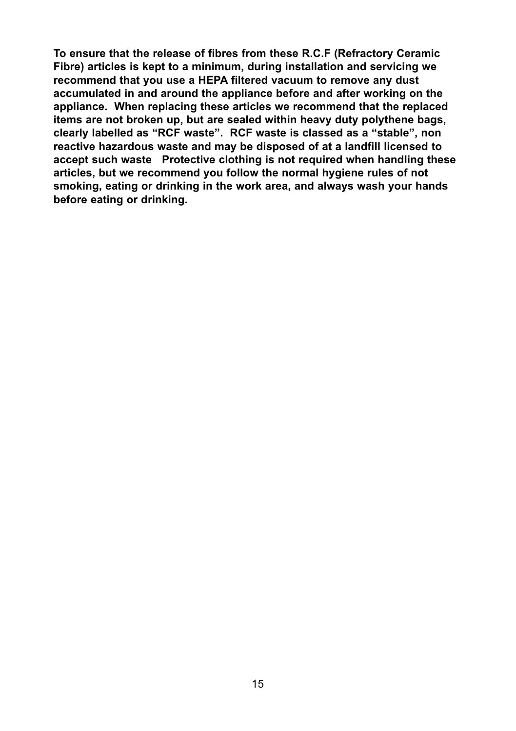**To ensure that the release of fibres from these R.C.F (Refractory Ceramic Fibre) articles is kept to a minimum, during installation and servicing we recommend that you use a HEPA filtered vacuum to remove any dust accumulated in and around the appliance before and after working on the appliance. When replacing these articles we recommend that the replaced items are not broken up, but are sealed within heavy duty polythene bags, clearly labelled as "RCF waste". RCF waste is classed as a "stable", non reactive hazardous waste and may be disposed of at a landfill licensed to accept such waste Protective clothing is not required when handling these articles, but we recommend you follow the normal hygiene rules of not smoking, eating or drinking in the work area, and always wash your hands before eating or drinking.**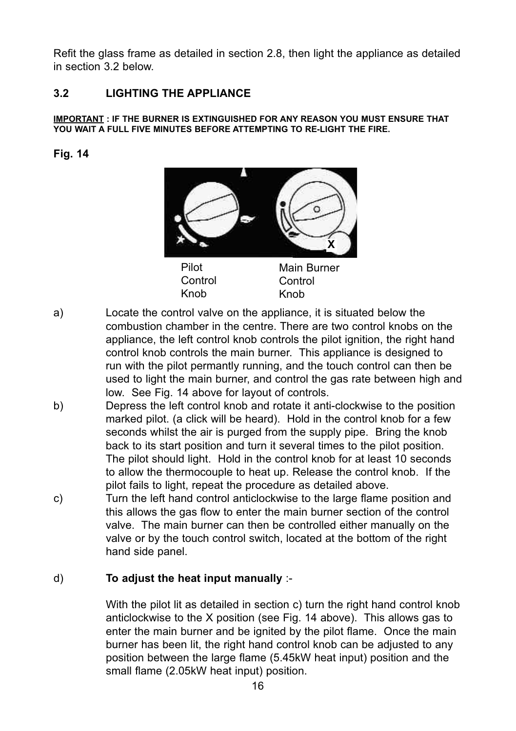Refit the glass frame as detailed in section 2.8, then light the appliance as detailed in section 3.2 below.

#### **3.2 LIGHTING THE APPLIANCE**

#### **IMPORTANT : IF THE BURNER IS EXTINGUISHED FOR ANY REASON YOU MUST ENSURE THAT YOU WAIT A FULL FIVE MINUTES BEFORE ATTEMPTING TO RE-LIGHT THE FIRE.**

#### **Fig. 14**



Knob

a) Locate the control valve on the appliance, it is situated below the combustion chamber in the centre. There are two control knobs on the appliance, the left control knob controls the pilot ignition, the right hand control knob controls the main burner. This appliance is designed to run with the pilot permantly running, and the touch control can then be used to light the main burner, and control the gas rate between high and low. See Fig. 14 above for layout of controls.

Knob

- b) Depress the left control knob and rotate it anti-clockwise to the position marked pilot. (a click will be heard). Hold in the control knob for a few seconds whilst the air is purged from the supply pipe. Bring the knob back to its start position and turn it several times to the pilot position. The pilot should light. Hold in the control knob for at least 10 seconds to allow the thermocouple to heat up. Release the control knob. If the pilot fails to light, repeat the procedure as detailed above.
- c) Turn the left hand control anticlockwise to the large flame position and this allows the gas flow to enter the main burner section of the control valve. The main burner can then be controlled either manually on the valve or by the touch control switch, located at the bottom of the right hand side panel.

#### d) **To adjust the heat input manually** :-

With the pilot lit as detailed in section c) turn the right hand control knob anticlockwise to the X position (see Fig. 14 above). This allows gas to enter the main burner and be ignited by the pilot flame. Once the main burner has been lit, the right hand control knob can be adjusted to any position between the large flame (5.45kW heat input) position and the small flame (2.05kW heat input) position.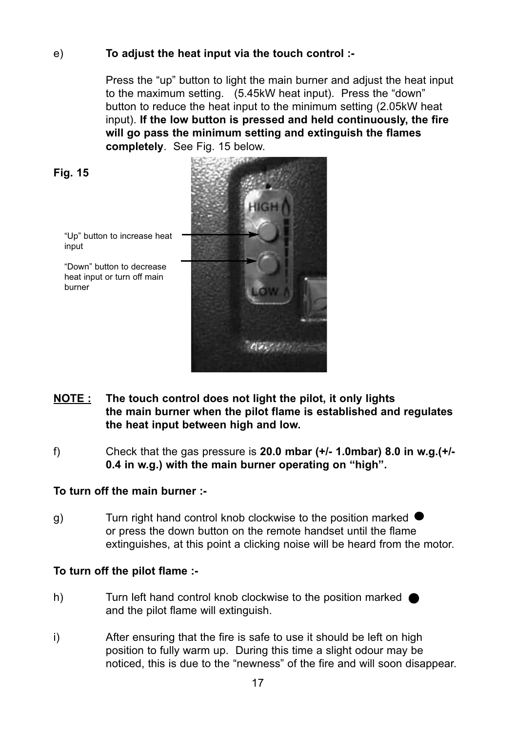#### e) **To adjust the heat input via the touch control :-**

Press the "up" button to light the main burner and adjust the heat input to the maximum setting. (5.45kW heat input). Press the "down" button to reduce the heat input to the minimum setting (2.05kW heat input). **If the low button is pressed and held continuously, the fire will go pass the minimum setting and extinguish the flames completely**. See Fig. 15 below.

$$
Fig. 15
$$

"Up" button to increase heat input

"Down" button to decrease heat input or turn off main burner



- **NOTE : The touch control does not light the pilot, it only lights the main burner when the pilot flame is established and regulates the heat input between high and low.**
- f) Check that the gas pressure is **20.0 mbar (+/- 1.0mbar) 8.0 in w.g.(+/- 0.4 in w.g.) with the main burner operating on "high".**

#### **To turn off the main burner :-**

 $\alpha$ ) Turn right hand control knob clockwise to the position marked  $\bullet$ or press the down button on the remote handset until the flame extinguishes, at this point a clicking noise will be heard from the motor.

#### **To turn off the pilot flame :-**

- h) Turn left hand control knob clockwise to the position marked **O** and the pilot flame will extinguish.
- i) After ensuring that the fire is safe to use it should be left on high position to fully warm up. During this time a slight odour may be noticed, this is due to the "newness" of the fire and will soon disappear.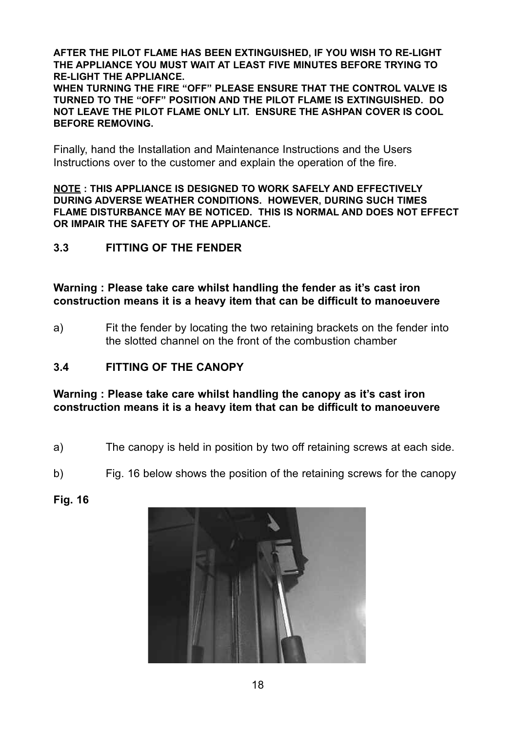**AFTER THE PILOT FLAME HAS BEEN EXTINGUISHED, IF YOU WISH TO RE-LIGHT THE APPLIANCE YOU MUST WAIT AT LEAST FIVE MINUTES BEFORE TRYING TO RE-LIGHT THE APPLIANCE.**

**WHEN TURNING THE FIRE "OFF" PLEASE ENSURE THAT THE CONTROL VALVE IS TURNED TO THE "OFF" POSITION AND THE PILOT FLAME IS EXTINGUISHED. DO NOT LEAVE THE PILOT FLAME ONLY LIT. ENSURE THE ASHPAN COVER IS COOL BEFORE REMOVING.**

Finally, hand the Installation and Maintenance Instructions and the Users Instructions over to the customer and explain the operation of the fire.

**NOTE : THIS APPLIANCE IS DESIGNED TO WORK SAFELY AND EFFECTIVELY DURING ADVERSE WEATHER CONDITIONS. HOWEVER, DURING SUCH TIMES FLAME DISTURBANCE MAY BE NOTICED. THIS IS NORMAL AND DOES NOT EFFECT OR IMPAIR THE SAFETY OF THE APPLIANCE.**

#### **3.3 FITTING OF THE FENDER**

**Warning : Please take care whilst handling the fender as it's cast iron construction means it is a heavy item that can be difficult to manoeuvere**

a) Fit the fender by locating the two retaining brackets on the fender into the slotted channel on the front of the combustion chamber

#### **3.4 FITTING OF THE CANOPY**

**Warning : Please take care whilst handling the canopy as it's cast iron construction means it is a heavy item that can be difficult to manoeuvere**

- a) The canopy is held in position by two off retaining screws at each side.
- b) Fig. 16 below shows the position of the retaining screws for the canopy
- **Fig. 16**

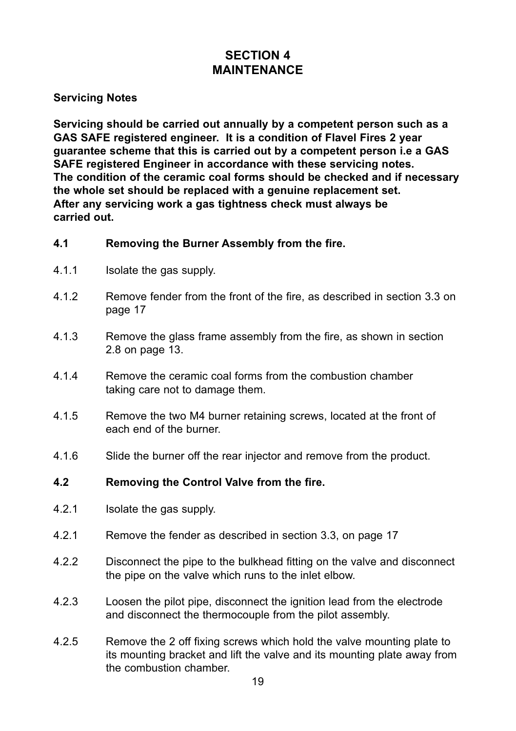#### **SECTION 4 MAINTENANCE**

#### **Servicing Notes**

**Servicing should be carried out annually by a competent person such as a GAS SAFE registered engineer. It is a condition of Flavel Fires 2 year guarantee scheme that this is carried out by a competent person i.e a GAS SAFE registered Engineer in accordance with these servicing notes. The condition of the ceramic coal forms should be checked and if necessary the whole set should be replaced with a genuine replacement set. After any servicing work a gas tightness check must always be carried out.**

#### **4.1 Removing the Burner Assembly from the fire.**

- 4.1.1 Isolate the gas supply.
- 4.1.2 Remove fender from the front of the fire, as described in section 3.3 on page 17
- 4.1.3 Remove the glass frame assembly from the fire, as shown in section 2.8 on page 13.
- 4.1.4 Remove the ceramic coal forms from the combustion chamber taking care not to damage them.
- 4.1.5 Remove the two M4 burner retaining screws, located at the front of each end of the burner.
- 4.1.6 Slide the burner off the rear injector and remove from the product.

#### **4.2 Removing the Control Valve from the fire.**

- 4.2.1 Isolate the gas supply.
- 4.2.1 Remove the fender as described in section 3.3, on page 17
- 4.2.2 Disconnect the pipe to the bulkhead fitting on the valve and disconnect the pipe on the valve which runs to the inlet elbow.
- 4.2.3 Loosen the pilot pipe, disconnect the ignition lead from the electrode and disconnect the thermocouple from the pilot assembly.
- 4.2.5 Remove the 2 off fixing screws which hold the valve mounting plate to its mounting bracket and lift the valve and its mounting plate away from the combustion chamber.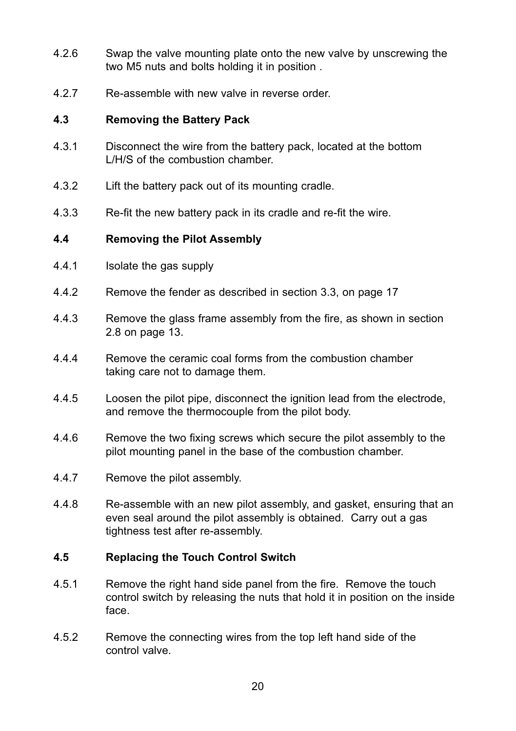- 4.2.6 Swap the valve mounting plate onto the new valve by unscrewing the two M5 nuts and bolts holding it in position .
- 4.2.7 Re-assemble with new valve in reverse order.

#### **4.3 Removing the Battery Pack**

- 4.3.1 Disconnect the wire from the battery pack, located at the bottom L/H/S of the combustion chamber.
- 4.3.2 Lift the battery pack out of its mounting cradle.
- 4.3.3 Re-fit the new battery pack in its cradle and re-fit the wire.

#### **4.4 Removing the Pilot Assembly**

- 4.4.1 Isolate the gas supply
- 4.4.2 Remove the fender as described in section 3.3, on page 17
- 4.4.3 Remove the glass frame assembly from the fire, as shown in section 2.8 on page 13.
- 4.4.4 Remove the ceramic coal forms from the combustion chamber taking care not to damage them.
- 4.4.5 Loosen the pilot pipe, disconnect the ignition lead from the electrode, and remove the thermocouple from the pilot body.
- 4.4.6 Remove the two fixing screws which secure the pilot assembly to the pilot mounting panel in the base of the combustion chamber.
- 4.4.7 Remove the pilot assembly.
- 4.4.8 Re-assemble with an new pilot assembly, and gasket, ensuring that an even seal around the pilot assembly is obtained. Carry out a gas tightness test after re-assembly.

#### **4.5 Replacing the Touch Control Switch**

- 4.5.1 Remove the right hand side panel from the fire. Remove the touch control switch by releasing the nuts that hold it in position on the inside face.
- 4.5.2 Remove the connecting wires from the top left hand side of the control valve.